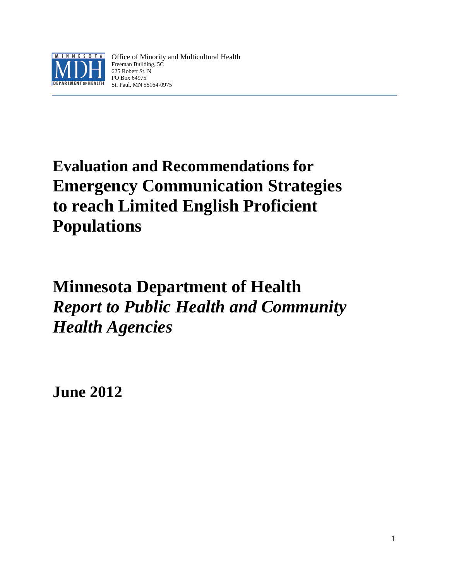

Office of Minority and Multicultural Health Freeman Building, 5C 625 Robert St. N PO Box 64975 St. Paul, MN 55164-0975

# **Evaluation and Recommendations for Emergency Communication Strategies to reach Limited English Proficient Populations**

# **Minnesota Department of Health** *Report to Public Health and Community Health Agencies*

**June 2012**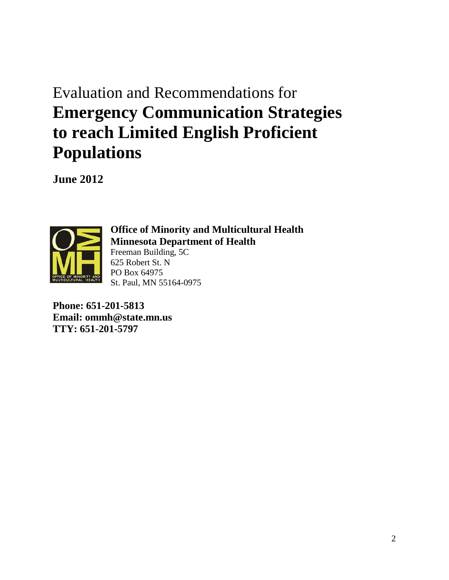# Evaluation and Recommendations for **Emergency Communication Strategies to reach Limited English Proficient Populations**

**June 2012**



**Office of Minority and Multicultural Health Minnesota Department of Health** Freeman Building, 5C 625 Robert St. N PO Box 64975 St. Paul, MN 55164-0975

**Phone: 651-201-5813 Email: ommh@state.mn.us TTY: 651-201-5797**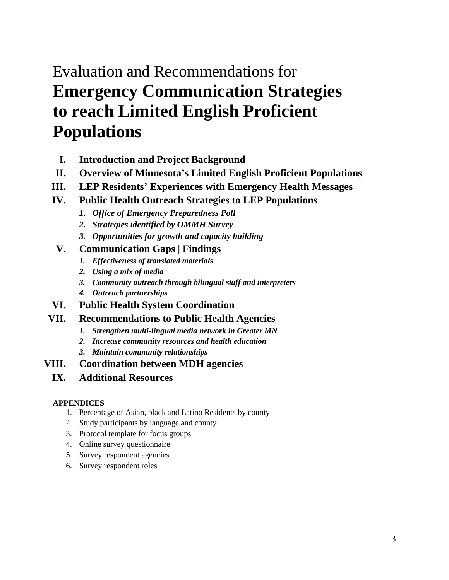# Evaluation and Recommendations for **Emergency Communication Strategies to reach Limited English Proficient Populations**

- **I. Introduction and Project Background**
- **II. Overview of Minnesota's Limited English Proficient Populations**
- **III. LEP Residents' Experiences with Emergency Health Messages**
- **IV. Public Health Outreach Strategies to LEP Populations**
	- *1. Office of Emergency Preparedness Poll*
	- *2. Strategies identified by OMMH Survey*
	- *3. Opportunities for growth and capacity building*

### **V. Communication Gaps | Findings**

- *1. Effectiveness of translated materials*
- *2. Using a mix of media*
- *3. Community outreach through bilingual staff and interpreters*
- *4. Outreach partnerships*
- **VI. Public Health System Coordination**

## **VII. Recommendations to Public Health Agencies**

- *1. Strengthen multi-lingual media network in Greater MN*
- *2. Increase community resources and health education*
- *3. Maintain community relationships*

## **VIII. Coordination between MDH agencies**

## **IX. Additional Resources**

#### **APPENDICES**

- 1. Percentage of Asian, black and Latino Residents by county
- 2. Study participants by language and county
- 3. Protocol template for focus groups
- 4. Online survey questionnaire
- 5. Survey respondent agencies
- 6. Survey respondent roles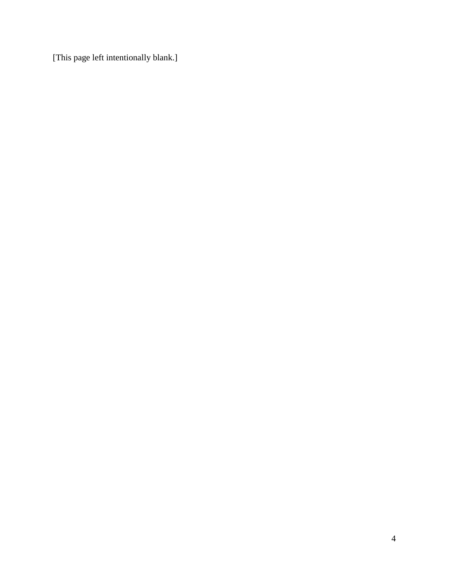[This page left intentionally blank.]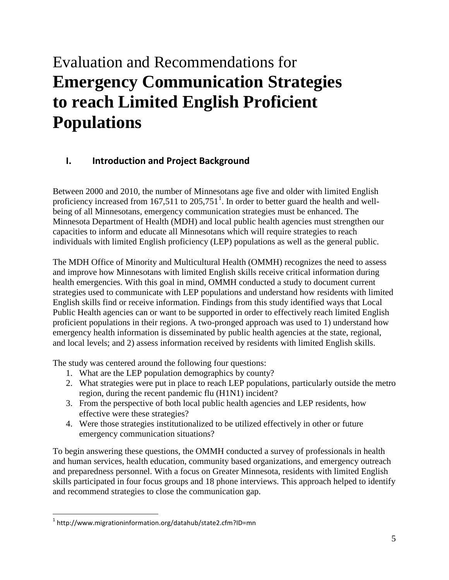# Evaluation and Recommendations for **Emergency Communication Strategies to reach Limited English Proficient Populations**

# **I. Introduction and Project Background**

Between 2000 and 2010, the number of Minnesotans age five and older with limited English proficiency increased from [1](#page-4-0)67,511 to  $205,751^1$ . In order to better guard the health and wellbeing of all Minnesotans, emergency communication strategies must be enhanced. The Minnesota Department of Health (MDH) and local public health agencies must strengthen our capacities to inform and educate all Minnesotans which will require strategies to reach individuals with limited English proficiency (LEP) populations as well as the general public.

The MDH Office of Minority and Multicultural Health (OMMH) recognizes the need to assess and improve how Minnesotans with limited English skills receive critical information during health emergencies. With this goal in mind, OMMH conducted a study to document current strategies used to communicate with LEP populations and understand how residents with limited English skills find or receive information. Findings from this study identified ways that Local Public Health agencies can or want to be supported in order to effectively reach limited English proficient populations in their regions. A two-pronged approach was used to 1) understand how emergency health information is disseminated by public health agencies at the state, regional, and local levels; and 2) assess information received by residents with limited English skills.

The study was centered around the following four questions:

- 1. What are the LEP population demographics by county?
- 2. What strategies were put in place to reach LEP populations, particularly outside the metro region, during the recent pandemic flu (H1N1) incident?
- 3. From the perspective of both local public health agencies and LEP residents, how effective were these strategies?
- 4. Were those strategies institutionalized to be utilized effectively in other or future emergency communication situations?

To begin answering these questions, the OMMH conducted a survey of professionals in health and human services, health education, community based organizations, and emergency outreach and preparedness personnel. With a focus on Greater Minnesota, residents with limited English skills participated in four focus groups and 18 phone interviews. This approach helped to identify and recommend strategies to close the communication gap.

 $\overline{a}$ 

<span id="page-4-0"></span> $1$  http://www.migrationinformation.org/datahub/state2.cfm?ID=mn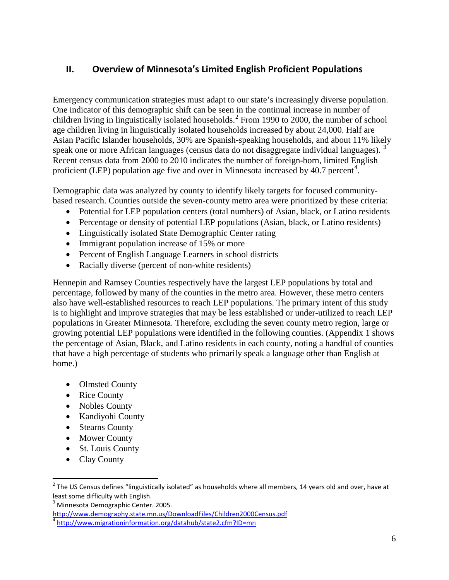# **II. Overview of Minnesota's Limited English Proficient Populations**

Emergency communication strategies must adapt to our state's increasingly diverse population. One indicator of this demographic shift can be seen in the continual increase in number of children living in linguistically isolated households.<sup>[2](#page-5-0)</sup> From 1990 to 2000, the number of school age children living in linguistically isolated households increased by about 24,000. Half are Asian Pacific Islander households, 30% are Spanish-speaking households, and about 11% likely speak one or more African languages (census data do not disaggregate individual languages). [3](#page-5-1) Recent census data from 2000 to 2010 indicates the number of foreign-born, limited English proficient (LEP) population age five and over in Minnesota increased by [4](#page-5-2)0.7 percent<sup>4</sup>.

Demographic data was analyzed by county to identify likely targets for focused communitybased research. Counties outside the seven-county metro area were prioritized by these criteria:

- Potential for LEP population centers (total numbers) of Asian, black, or Latino residents
- Percentage or density of potential LEP populations (Asian, black, or Latino residents)
- Linguistically isolated State Demographic Center rating
- Immigrant population increase of 15% or more
- Percent of English Language Learners in school districts
- Racially diverse (percent of non-white residents)

Hennepin and Ramsey Counties respectively have the largest LEP populations by total and percentage, followed by many of the counties in the metro area. However, these metro centers also have well-established resources to reach LEP populations. The primary intent of this study is to highlight and improve strategies that may be less established or under-utilized to reach LEP populations in Greater Minnesota. Therefore, excluding the seven county metro region, large or growing potential LEP populations were identified in the following counties. (Appendix 1 shows the percentage of Asian, Black, and Latino residents in each county, noting a handful of counties that have a high percentage of students who primarily speak a language other than English at home.)

- Olmsted County
- Rice County
- Nobles County
- Kandiyohi County
- Stearns County
- Mower County
- St. Louis County
- Clay County

<span id="page-5-1"></span>

<http://www.demography.state.mn.us/DownloadFiles/Children2000Census.pdf>

<span id="page-5-0"></span> $\overline{a}$  $2$  The US Census defines "linguistically isolated" as households where all members, 14 years old and over, have at least some difficulty with English.<br><sup>3</sup> Minnesota Demographic Center. 2005.

<span id="page-5-2"></span><sup>4</sup> <http://www.migrationinformation.org/datahub/state2.cfm?ID=mn>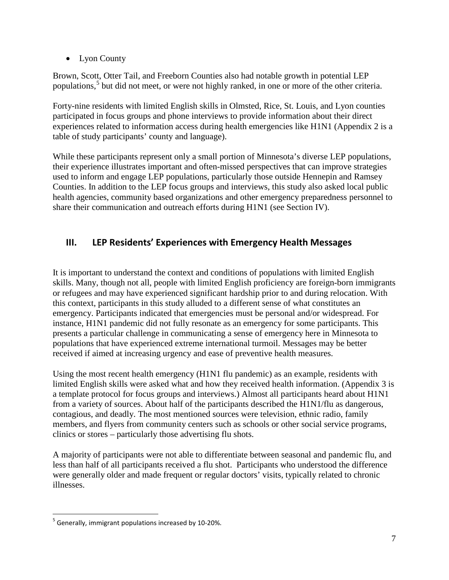• Lyon County

Brown, Scott, Otter Tail, and Freeborn Counties also had notable growth in potential LEP populations,<sup>[5](#page-6-0)</sup> but did not meet, or were not highly ranked, in one or more of the other criteria.

Forty-nine residents with limited English skills in Olmsted, Rice, St. Louis, and Lyon counties participated in focus groups and phone interviews to provide information about their direct experiences related to information access during health emergencies like H1N1 (Appendix 2 is a table of study participants' county and language).

While these participants represent only a small portion of Minnesota's diverse LEP populations, their experience illustrates important and often-missed perspectives that can improve strategies used to inform and engage LEP populations, particularly those outside Hennepin and Ramsey Counties. In addition to the LEP focus groups and interviews, this study also asked local public health agencies, community based organizations and other emergency preparedness personnel to share their communication and outreach efforts during H1N1 (see Section IV).

# **III. LEP Residents' Experiences with Emergency Health Messages**

It is important to understand the context and conditions of populations with limited English skills. Many, though not all, people with limited English proficiency are foreign-born immigrants or refugees and may have experienced significant hardship prior to and during relocation. With this context, participants in this study alluded to a different sense of what constitutes an emergency. Participants indicated that emergencies must be personal and/or widespread. For instance, H1N1 pandemic did not fully resonate as an emergency for some participants. This presents a particular challenge in communicating a sense of emergency here in Minnesota to populations that have experienced extreme international turmoil. Messages may be better received if aimed at increasing urgency and ease of preventive health measures.

Using the most recent health emergency (H1N1 flu pandemic) as an example, residents with limited English skills were asked what and how they received health information. (Appendix 3 is a template protocol for focus groups and interviews.) Almost all participants heard about H1N1 from a variety of sources. About half of the participants described the H1N1/flu as dangerous, contagious, and deadly. The most mentioned sources were television, ethnic radio, family members, and flyers from community centers such as schools or other social service programs, clinics or stores – particularly those advertising flu shots.

A majority of participants were not able to differentiate between seasonal and pandemic flu, and less than half of all participants received a flu shot. Participants who understood the difference were generally older and made frequent or regular doctors' visits, typically related to chronic illnesses.

<span id="page-6-0"></span> $\overline{a}$  $<sup>5</sup>$  Generally, immigrant populations increased by 10-20%.</sup>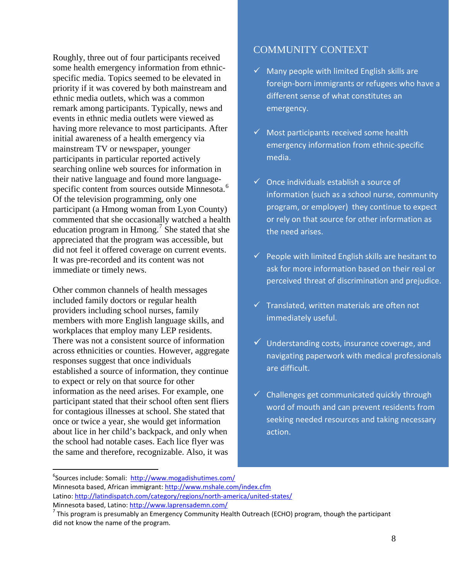Roughly, three out of four participants received some health emergency information from ethnicspecific media. Topics seemed to be elevated in priority if it was covered by both mainstream and ethnic media outlets, which was a common remark among participants. Typically, news and events in ethnic media outlets were viewed as having more relevance to most participants. After initial awareness of a health emergency via mainstream TV or newspaper, younger participants in particular reported actively searching online web sources for information in their native language and found more language-specific content from sources outside Minnesota.<sup>[6](#page-7-0)</sup> Of the television programming, only one participant (a Hmong woman from Lyon County) commented that she occasionally watched a health education program in Hmong.<sup>[7](#page-7-1)</sup> She stated that she appreciated that the program was accessible, but did not feel it offered coverage on current events. It was pre-recorded and its content was not immediate or timely news.

Other common channels of health messages included family doctors or regular health providers including school nurses, family members with more English language skills, and workplaces that employ many LEP residents. There was not a consistent source of information across ethnicities or counties. However, aggregate responses suggest that once individuals established a source of information, they continue to expect or rely on that source for other information as the need arises. For example, one participant stated that their school often sent fliers for contagious illnesses at school. She stated that once or twice a year, she would get information about lice in her child's backpack, and only when the school had notable cases. Each lice flyer was the same and therefore, recognizable. Also, it was

# COMMUNITY CONTEXT

- $\checkmark$  Many people with limited English skills are foreign-born immigrants or refugees who have a different sense of what constitutes an emergency.
- $\checkmark$  Most participants received some health emergency information from ethnic-specific media.
- $\checkmark$  Once individuals establish a source of information (such as a school nurse, community program, or employer) they continue to expect or rely on that source for other information as the need arises.
- $\checkmark$  People with limited English skills are hesitant to ask for more information based on their real or perceived threat of discrimination and prejudice.
- $\checkmark$  Translated, written materials are often not immediately useful.
- $\checkmark$  Understanding costs, insurance coverage, and navigating paperwork with medical professionals are difficult.
- $\checkmark$  Challenges get communicated quickly through word of mouth and can prevent residents from seeking needed resources and taking necessary action.

 $\overline{a}$ <sup>6</sup>Sources include: Somali: http://www.mogadishutimes.com/

<span id="page-7-0"></span>Minnesota based, African immigrant:<http://www.mshale.com/index.cfm> Latino:<http://latindispatch.com/category/regions/north-america/united-states/>

<span id="page-7-1"></span>Minnesota based, Latino: http://www.laprensademn.com/<br><sup>7</sup> This program is presumably an Emergency Community Health Outreach (ECHO) program, though the participant did not know the name of the program.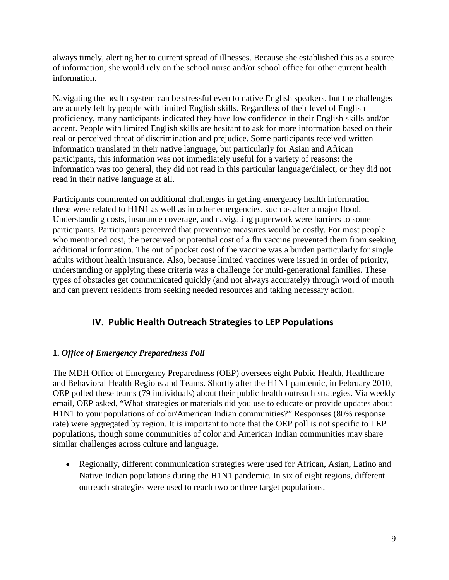always timely, alerting her to current spread of illnesses. Because she established this as a source of information; she would rely on the school nurse and/or school office for other current health information.

Navigating the health system can be stressful even to native English speakers, but the challenges are acutely felt by people with limited English skills. Regardless of their level of English proficiency, many participants indicated they have low confidence in their English skills and/or accent. People with limited English skills are hesitant to ask for more information based on their real or perceived threat of discrimination and prejudice. Some participants received written information translated in their native language, but particularly for Asian and African participants, this information was not immediately useful for a variety of reasons: the information was too general, they did not read in this particular language/dialect, or they did not read in their native language at all.

Participants commented on additional challenges in getting emergency health information – these were related to H1N1 as well as in other emergencies, such as after a major flood. Understanding costs, insurance coverage, and navigating paperwork were barriers to some participants. Participants perceived that preventive measures would be costly. For most people who mentioned cost, the perceived or potential cost of a flu vaccine prevented them from seeking additional information. The out of pocket cost of the vaccine was a burden particularly for single adults without health insurance. Also, because limited vaccines were issued in order of priority, understanding or applying these criteria was a challenge for multi-generational families. These types of obstacles get communicated quickly (and not always accurately) through word of mouth and can prevent residents from seeking needed resources and taking necessary action.

# **IV. Public Health Outreach Strategies to LEP Populations**

# **1.** *Office of Emergency Preparedness Poll*

The MDH Office of Emergency Preparedness (OEP) oversees eight Public Health, Healthcare and Behavioral Health Regions and Teams. Shortly after the H1N1 pandemic, in February 2010, OEP polled these teams (79 individuals) about their public health outreach strategies. Via weekly email, OEP asked, "What strategies or materials did you use to educate or provide updates about H1N1 to your populations of color/American Indian communities?" Responses (80% response rate) were aggregated by region. It is important to note that the OEP poll is not specific to LEP populations, though some communities of color and American Indian communities may share similar challenges across culture and language.

• Regionally, different communication strategies were used for African, Asian, Latino and Native Indian populations during the H1N1 pandemic. In six of eight regions, different outreach strategies were used to reach two or three target populations.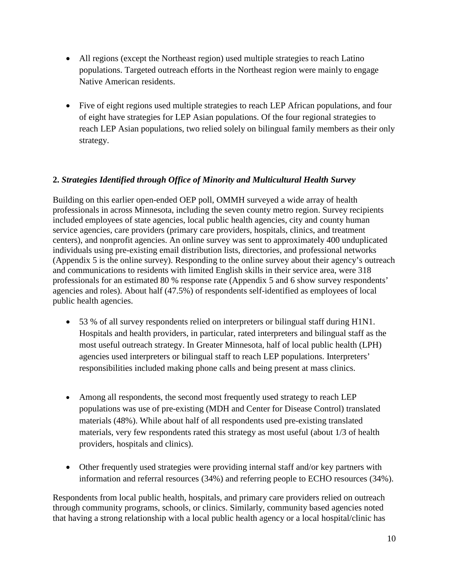- All regions (except the Northeast region) used multiple strategies to reach Latino populations. Targeted outreach efforts in the Northeast region were mainly to engage Native American residents.
- Five of eight regions used multiple strategies to reach LEP African populations, and four of eight have strategies for LEP Asian populations. Of the four regional strategies to reach LEP Asian populations, two relied solely on bilingual family members as their only strategy.

# **2.** *Strategies Identified through Office of Minority and Multicultural Health Survey*

Building on this earlier open-ended OEP poll, OMMH surveyed a wide array of health professionals in across Minnesota, including the seven county metro region. Survey recipients included employees of state agencies, local public health agencies, city and county human service agencies, care providers (primary care providers, hospitals, clinics, and treatment centers), and nonprofit agencies. An online survey was sent to approximately 400 unduplicated individuals using pre-existing email distribution lists, directories, and professional networks (Appendix 5 is the online survey). Responding to the online survey about their agency's outreach and communications to residents with limited English skills in their service area, were 318 professionals for an estimated 80 % response rate (Appendix 5 and 6 show survey respondents' agencies and roles). About half (47.5%) of respondents self-identified as employees of local public health agencies.

- 53 % of all survey respondents relied on interpreters or bilingual staff during H1N1. Hospitals and health providers, in particular, rated interpreters and bilingual staff as the most useful outreach strategy. In Greater Minnesota, half of local public health (LPH) agencies used interpreters or bilingual staff to reach LEP populations. Interpreters' responsibilities included making phone calls and being present at mass clinics.
- Among all respondents, the second most frequently used strategy to reach LEP populations was use of pre-existing (MDH and Center for Disease Control) translated materials (48%). While about half of all respondents used pre-existing translated materials, very few respondents rated this strategy as most useful (about 1/3 of health providers, hospitals and clinics).
- Other frequently used strategies were providing internal staff and/or key partners with information and referral resources (34%) and referring people to ECHO resources (34%).

Respondents from local public health, hospitals, and primary care providers relied on outreach through community programs, schools, or clinics. Similarly, community based agencies noted that having a strong relationship with a local public health agency or a local hospital/clinic has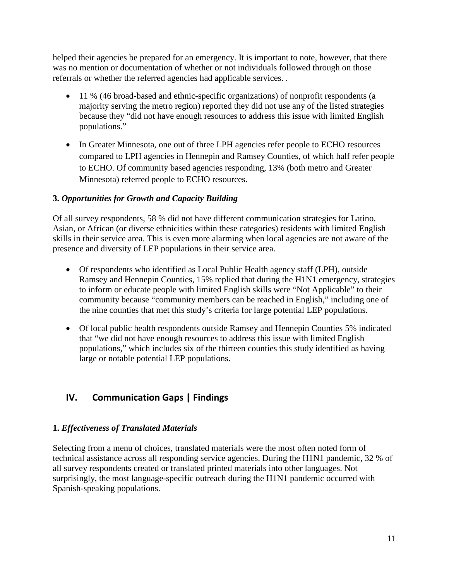helped their agencies be prepared for an emergency. It is important to note, however, that there was no mention or documentation of whether or not individuals followed through on those referrals or whether the referred agencies had applicable services. .

- 11 % (46 broad-based and ethnic-specific organizations) of nonprofit respondents (a majority serving the metro region) reported they did not use any of the listed strategies because they "did not have enough resources to address this issue with limited English populations."
- In Greater Minnesota, one out of three LPH agencies refer people to ECHO resources compared to LPH agencies in Hennepin and Ramsey Counties, of which half refer people to ECHO. Of community based agencies responding, 13% (both metro and Greater Minnesota) referred people to ECHO resources.

# **3.** *Opportunities for Growth and Capacity Building*

Of all survey respondents, 58 % did not have different communication strategies for Latino, Asian, or African (or diverse ethnicities within these categories) residents with limited English skills in their service area. This is even more alarming when local agencies are not aware of the presence and diversity of LEP populations in their service area.

- Of respondents who identified as Local Public Health agency staff (LPH), outside Ramsey and Hennepin Counties, 15% replied that during the H1N1 emergency, strategies to inform or educate people with limited English skills were "Not Applicable" to their community because "community members can be reached in English," including one of the nine counties that met this study's criteria for large potential LEP populations.
- Of local public health respondents outside Ramsey and Hennepin Counties 5% indicated that "we did not have enough resources to address this issue with limited English populations," which includes six of the thirteen counties this study identified as having large or notable potential LEP populations.

# **IV. Communication Gaps | Findings**

## **1.** *Effectiveness of Translated Materials*

Selecting from a menu of choices, translated materials were the most often noted form of technical assistance across all responding service agencies. During the H1N1 pandemic, 32 % of all survey respondents created or translated printed materials into other languages. Not surprisingly, the most language-specific outreach during the H1N1 pandemic occurred with Spanish-speaking populations.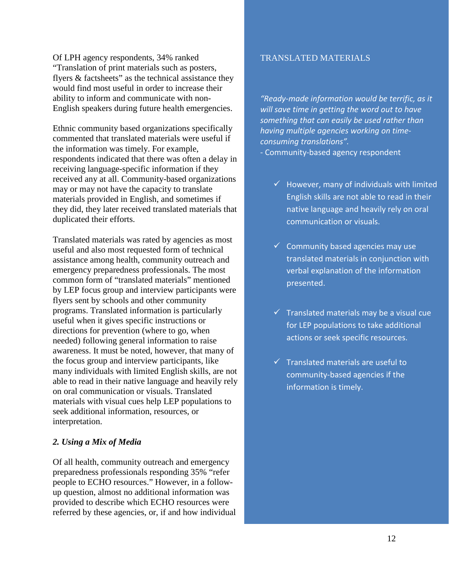Of LPH agency respondents, 34% ranked "Translation of print materials such as posters, flyers & factsheets" as the technical assistance they would find most useful in order to increase their ability to inform and communicate with non-English speakers during future health emergencies.

Ethnic community based organizations specifically commented that translated materials were useful if the information was timely. For example, respondents indicated that there was often a delay in receiving language-specific information if they received any at all. Community-based organizations may or may not have the capacity to translate materials provided in English, and sometimes if they did, they later received translated materials that duplicated their efforts.

Translated materials was rated by agencies as most useful and also most requested form of technical assistance among health, community outreach and emergency preparedness professionals. The most common form of "translated materials" mentioned by LEP focus group and interview participants were flyers sent by schools and other community programs. Translated information is particularly useful when it gives specific instructions or directions for prevention (where to go, when needed) following general information to raise awareness. It must be noted, however, that many of the focus group and interview participants, like many individuals with limited English skills, are not able to read in their native language and heavily rely on oral communication or visuals. Translated materials with visual cues help LEP populations to seek additional information, resources, or interpretation.

#### *2. Using a Mix of Media*

Of all health, community outreach and emergency preparedness professionals responding 35% "refer people to ECHO resources." However, in a followup question, almost no additional information was provided to describe which ECHO resources were referred by these agencies, or, if and how individual

#### TRANSLATED MATERIALS

*"Ready-made information would be terrific, as it will save time in getting the word out to have something that can easily be used rather than having multiple agencies working on timeconsuming translations".*

- Community-based agency respondent

- $\checkmark$  However, many of individuals with limited English skills are not able to read in their native language and heavily rely on oral communication or visuals.
- $\checkmark$  Community based agencies may use translated materials in conjunction with verbal explanation of the information presented.
- $\checkmark$  Translated materials may be a visual cue for LEP populations to take additional actions or seek specific resources.
- $\checkmark$  Translated materials are useful to community-based agencies if the information is timely.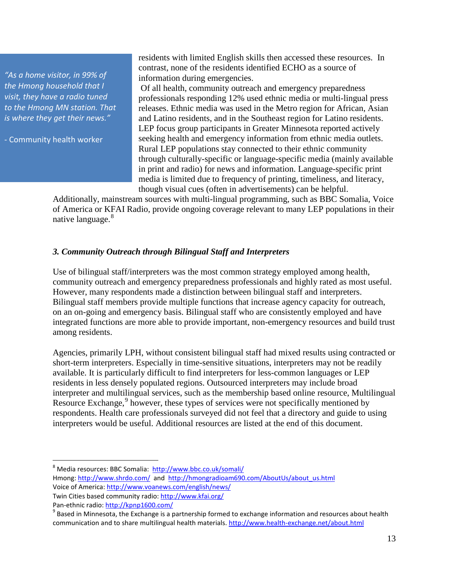*"As a home visitor, in 99% of the Hmong household that I visit, they have a radio tuned to the Hmong MN station. That is where they get their news."*

- Community health worker

 $\overline{a}$ 

residents with limited English skills then accessed these resources. In contrast, none of the residents identified ECHO as a source of information during emergencies.

Of all health, community outreach and emergency preparedness professionals responding 12% used ethnic media or multi-lingual press releases. Ethnic media was used in the Metro region for African, Asian and Latino residents, and in the Southeast region for Latino residents. LEP focus group participants in Greater Minnesota reported actively seeking health and emergency information from ethnic media outlets. Rural LEP populations stay connected to their ethnic community through culturally-specific or language-specific media (mainly available in print and radio) for news and information. Language-specific print media is limited due to frequency of printing, timeliness, and literacy, though visual cues (often in advertisements) can be helpful.

Additionally, mainstream sources with multi-lingual programming, such as BBC Somalia, Voice of America or KFAI Radio, provide ongoing coverage relevant to many LEP populations in their native language.<sup>[8](#page-12-0)</sup>

## *3. Community Outreach through Bilingual Staff and Interpreters*

Use of bilingual staff/interpreters was the most common strategy employed among health, community outreach and emergency preparedness professionals and highly rated as most useful. However, many respondents made a distinction between bilingual staff and interpreters. Bilingual staff members provide multiple functions that increase agency capacity for outreach, on an on-going and emergency basis. Bilingual staff who are consistently employed and have integrated functions are more able to provide important, non-emergency resources and build trust among residents.

Agencies, primarily LPH, without consistent bilingual staff had mixed results using contracted or short-term interpreters. Especially in time-sensitive situations, interpreters may not be readily available. It is particularly difficult to find interpreters for less-common languages or LEP residents in less densely populated regions. Outsourced interpreters may include broad interpreter and multilingual services, such as the membership based online resource, Multilingual Resource Exchange,<sup>[9](#page-12-1)</sup> however, these types of services were not specifically mentioned by respondents. Health care professionals surveyed did not feel that a directory and guide to using interpreters would be useful. Additional resources are listed at the end of this document.

<span id="page-12-0"></span><sup>&</sup>lt;sup>8</sup> Media resources: BBC Somalia: <u><http://www.bbc.co.uk/somali/></u> Hmong[: http://www.shrdo.com/](http://www.shrdo.com/) and http://hmongradioam690.com/AboutUs/about\_us.html Voice of America:<http://www.voanews.com/english/news/>

Twin Cities based community radio:<http://www.kfai.org/>

<span id="page-12-1"></span>Pan-ethnic radio:<http://kpnp1600.com/><br><sup>9</sup> Based in Minnesota, the Exchange is a partnership formed to exchange information and resources about health communication and to share multilingual health materials. http://www.health-exchange.net/about.html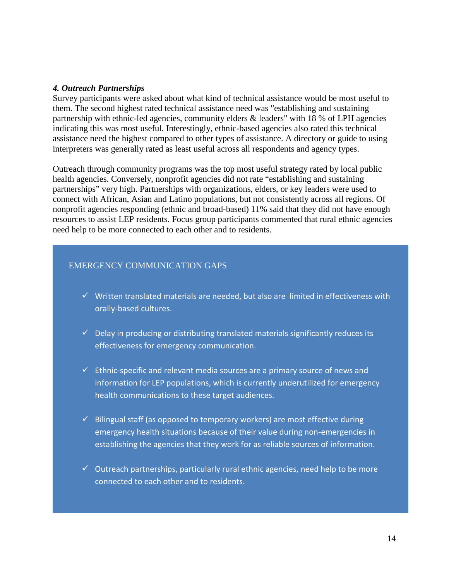#### *4. Outreach Partnerships*

Survey participants were asked about what kind of technical assistance would be most useful to them. The second highest rated technical assistance need was "establishing and sustaining partnership with ethnic-led agencies, community elders & leaders" with 18 % of LPH agencies indicating this was most useful. Interestingly, ethnic-based agencies also rated this technical assistance need the highest compared to other types of assistance. A directory or guide to using interpreters was generally rated as least useful across all respondents and agency types.

Outreach through community programs was the top most useful strategy rated by local public health agencies. Conversely, nonprofit agencies did not rate "establishing and sustaining partnerships" very high. Partnerships with organizations, elders, or key leaders were used to connect with African, Asian and Latino populations, but not consistently across all regions. Of nonprofit agencies responding (ethnic and broad-based) 11% said that they did not have enough resources to assist LEP residents. Focus group participants commented that rural ethnic agencies need help to be more connected to each other and to residents.

### EMERGENCY COMMUNICATION GAPS

- $\checkmark$  Written translated materials are needed, but also are limited in effectiveness with orally-based cultures.
- $\checkmark$  Delay in producing or distributing translated materials significantly reduces its effectiveness for emergency communication.
- $\checkmark$  Ethnic-specific and relevant media sources are a primary source of news and information for LEP populations, which is currently underutilized for emergency health communications to these target audiences.
- $\checkmark$  Bilingual staff (as opposed to temporary workers) are most effective during emergency health situations because of their value during non-emergencies in establishing the agencies that they work for as reliable sources of information.
- $\checkmark$  Outreach partnerships, particularly rural ethnic agencies, need help to be more connected to each other and to residents.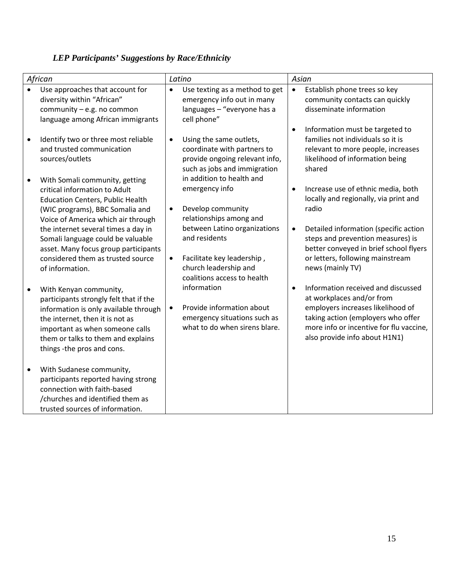| African   |                                                                                                                                                                                                                                                                 | Latino    |                                                                                                                                              |                        | Asian                                                                                                                                                                                                                  |  |  |  |
|-----------|-----------------------------------------------------------------------------------------------------------------------------------------------------------------------------------------------------------------------------------------------------------------|-----------|----------------------------------------------------------------------------------------------------------------------------------------------|------------------------|------------------------------------------------------------------------------------------------------------------------------------------------------------------------------------------------------------------------|--|--|--|
|           | Use approaches that account for<br>diversity within "African"<br>community $-$ e.g. no common<br>language among African immigrants                                                                                                                              | $\bullet$ | Use texting as a method to get<br>emergency info out in many<br>languages - "everyone has a<br>cell phone"                                   | $\bullet$<br>$\bullet$ | Establish phone trees so key<br>community contacts can quickly<br>disseminate information<br>Information must be targeted to                                                                                           |  |  |  |
| $\bullet$ | Identify two or three most reliable<br>and trusted communication<br>sources/outlets                                                                                                                                                                             | $\bullet$ | Using the same outlets,<br>coordinate with partners to<br>provide ongoing relevant info,<br>such as jobs and immigration                     |                        | families not individuals so it is<br>relevant to more people, increases<br>likelihood of information being<br>shared                                                                                                   |  |  |  |
| $\bullet$ | With Somali community, getting<br>critical information to Adult<br><b>Education Centers, Public Health</b><br>(WIC programs), BBC Somalia and<br>Voice of America which air through<br>the internet several times a day in<br>Somali language could be valuable |           | in addition to health and<br>emergency info<br>Develop community<br>relationships among and<br>between Latino organizations<br>and residents | $\bullet$<br>$\bullet$ | Increase use of ethnic media, both<br>locally and regionally, via print and<br>radio<br>Detailed information (specific action<br>steps and prevention measures) is                                                     |  |  |  |
|           | asset. Many focus group participants<br>considered them as trusted source<br>of information.                                                                                                                                                                    | $\bullet$ | Facilitate key leadership,<br>church leadership and<br>coalitions access to health                                                           |                        | better conveyed in brief school flyers<br>or letters, following mainstream<br>news (mainly TV)                                                                                                                         |  |  |  |
| $\bullet$ | With Kenyan community,<br>participants strongly felt that if the<br>information is only available through<br>the internet, then it is not as<br>important as when someone calls<br>them or talks to them and explains<br>things -the pros and cons.             | $\bullet$ | information<br>Provide information about<br>emergency situations such as<br>what to do when sirens blare.                                    | $\bullet$              | Information received and discussed<br>at workplaces and/or from<br>employers increases likelihood of<br>taking action (employers who offer<br>more info or incentive for flu vaccine,<br>also provide info about H1N1) |  |  |  |
| ٠         | With Sudanese community,<br>participants reported having strong<br>connection with faith-based<br>/churches and identified them as<br>trusted sources of information.                                                                                           |           |                                                                                                                                              |                        |                                                                                                                                                                                                                        |  |  |  |

# *LEP Participants' Suggestions by Race/Ethnicity*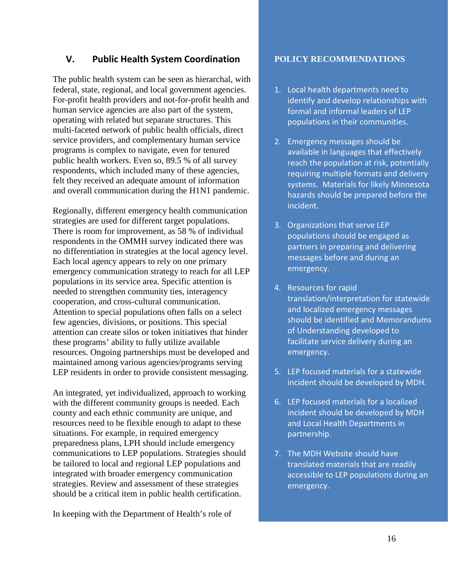# **V. Public Health System Coordination**

The public health system can be seen as hierarchal, with federal, state, regional, and local government agencies. For-profit health providers and not-for-profit health and human service agencies are also part of the system, operating with related but separate structures. This multi-faceted network of public health officials, direct service providers, and complementary human service programs is complex to navigate, even for tenured public health workers. Even so, 89.5 % of all survey respondents, which included many of these agencies, felt they received an adequate amount of information and overall communication during the H1N1 pandemic.

Regionally, different emergency health communication strategies are used for different target populations. There is room for improvement, as 58 % of individual respondents in the OMMH survey indicated there was no differentiation in strategies at the local agency level. Each local agency appears to rely on one primary emergency communication strategy to reach for all LEP populations in its service area. Specific attention is needed to strengthen community ties, interagency cooperation, and cross-cultural communication. Attention to special populations often falls on a select few agencies, divisions, or positions. This special attention can create silos or token initiatives that hinder these programs' ability to fully utilize available resources. Ongoing partnerships must be developed and maintained among various agencies/programs serving LEP residents in order to provide consistent messaging.

An integrated, yet individualized, approach to working with the different community groups is needed. Each county and each ethnic community are unique, and resources need to be flexible enough to adapt to these situations. For example, in required emergency preparedness plans, LPH should include emergency communications to LEP populations. Strategies should be tailored to local and regional LEP populations and integrated with broader emergency communication strategies. Review and assessment of these strategies should be a critical item in public health certification.

In keeping with the Department of Health's role of

#### **POLICY RECOMMENDATIONS**

- 1. Local health departments need to identify and develop relationships with formal and informal leaders of LEP populations in their communities.
- 2. Emergency messages should be available in languages that effectively reach the population at risk, potentially requiring multiple formats and delivery systems. Materials for likely Minnesota hazards should be prepared before the incident.
- 3. Organizations that serve LEP populations should be engaged as partners in preparing and delivering messages before and during an emergency.
- 4. Resources for rapid translation/interpretation for statewide and localized emergency messages should be identified and Memorandums of Understanding developed to facilitate service delivery during an emergency.
- 5. LEP focused materials for a statewide incident should be developed by MDH.
- 6. LEP focused materials for a localized incident should be developed by MDH and Local Health Departments in partnership.
- 7. The MDH Website should have translated materials that are readily accessible to LEP populations during an emergency.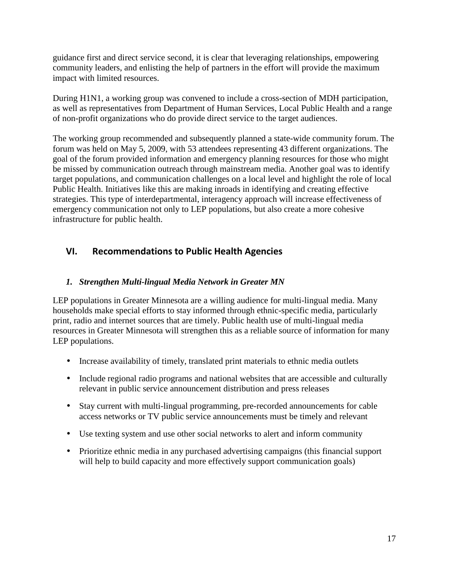guidance first and direct service second, it is clear that leveraging relationships, empowering community leaders, and enlisting the help of partners in the effort will provide the maximum impact with limited resources.

During H1N1, a working group was convened to include a cross-section of MDH participation, as well as representatives from Department of Human Services, Local Public Health and a range of non-profit organizations who do provide direct service to the target audiences.

The working group recommended and subsequently planned a state-wide community forum. The forum was held on May 5, 2009, with 53 attendees representing 43 different organizations. The goal of the forum provided information and emergency planning resources for those who might be missed by communication outreach through mainstream media. Another goal was to identify target populations, and communication challenges on a local level and highlight the role of local Public Health. Initiatives like this are making inroads in identifying and creating effective strategies. This type of interdepartmental, interagency approach will increase effectiveness of emergency communication not only to LEP populations, but also create a more cohesive infrastructure for public health.

# **VI. Recommendations to Public Health Agencies**

# *1. Strengthen Multi-lingual Media Network in Greater MN*

LEP populations in Greater Minnesota are a willing audience for multi-lingual media. Many households make special efforts to stay informed through ethnic-specific media, particularly print, radio and internet sources that are timely. Public health use of multi-lingual media resources in Greater Minnesota will strengthen this as a reliable source of information for many LEP populations.

- Increase availability of timely, translated print materials to ethnic media outlets
- Include regional radio programs and national websites that are accessible and culturally relevant in public service announcement distribution and press releases
- Stay current with multi-lingual programming, pre-recorded announcements for cable access networks or TV public service announcements must be timely and relevant
- Use texting system and use other social networks to alert and inform community
- Prioritize ethnic media in any purchased advertising campaigns (this financial support will help to build capacity and more effectively support communication goals)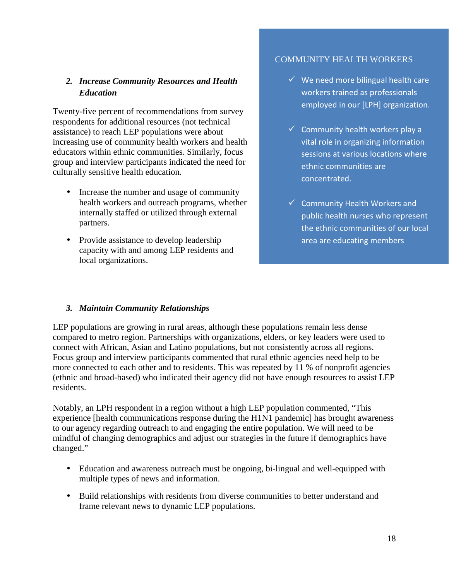# *2. Increase Community Resources and Health Education*

Twenty-five percent of recommendations from survey respondents for additional resources (not technical assistance) to reach LEP populations were about increasing use of community health workers and health educators within ethnic communities. Similarly, focus group and interview participants indicated the need for culturally sensitive health education.

- Increase the number and usage of community health workers and outreach programs, whether internally staffed or utilized through external partners.
- Provide assistance to develop leadership capacity with and among LEP residents and local organizations.

# COMMUNITY HEALTH WORKERS

- $\checkmark$  We need more bilingual health care workers trained as professionals employed in our [LPH] organization.
- $\checkmark$  Community health workers play a vital role in organizing information sessions at various locations where ethnic communities are concentrated.
- $\checkmark$  Community Health Workers and public health nurses who represent the ethnic communities of our local area are educating members

# *3. Maintain Community Relationships*

LEP populations are growing in rural areas, although these populations remain less dense compared to metro region. Partnerships with organizations, elders, or key leaders were used to connect with African, Asian and Latino populations, but not consistently across all regions. Focus group and interview participants commented that rural ethnic agencies need help to be more connected to each other and to residents. This was repeated by 11 % of nonprofit agencies (ethnic and broad-based) who indicated their agency did not have enough resources to assist LEP residents.

Notably, an LPH respondent in a region without a high LEP population commented, "This experience [health communications response during the H1N1 pandemic] has brought awareness to our agency regarding outreach to and engaging the entire population. We will need to be mindful of changing demographics and adjust our strategies in the future if demographics have changed."

- Education and awareness outreach must be ongoing, bi-lingual and well-equipped with multiple types of news and information.
- Build relationships with residents from diverse communities to better understand and frame relevant news to dynamic LEP populations.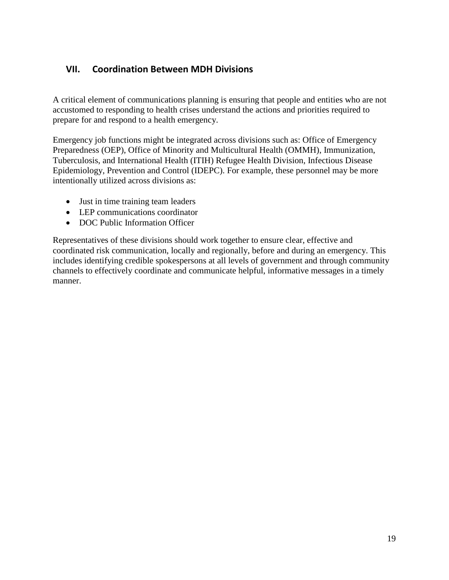# **VII. Coordination Between MDH Divisions**

A critical element of communications planning is ensuring that people and entities who are not accustomed to responding to health crises understand the actions and priorities required to prepare for and respond to a health emergency.

Emergency job functions might be integrated across divisions such as: Office of Emergency Preparedness (OEP), Office of Minority and Multicultural Health (OMMH), Immunization, Tuberculosis, and International Health (ITIH) Refugee Health Division, Infectious Disease Epidemiology, Prevention and Control (IDEPC). For example, these personnel may be more intentionally utilized across divisions as:

- Just in time training team leaders
- LEP communications coordinator
- DOC Public Information Officer

Representatives of these divisions should work together to ensure clear, effective and coordinated risk communication, locally and regionally, before and during an emergency. This includes identifying credible spokespersons at all levels of government and through community channels to effectively coordinate and communicate helpful, informative messages in a timely manner.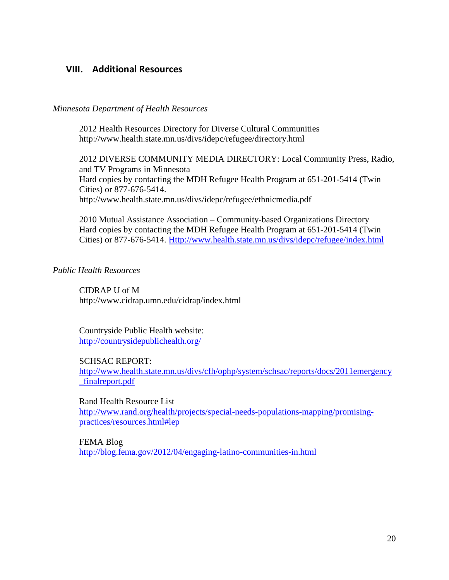# **VIII. Additional Resources**

#### *Minnesota Department of Health Resources*

2012 Health Resources Directory for Diverse Cultural Communities http://www.health.state.mn.us/divs/idepc/refugee/directory.html

2012 DIVERSE COMMUNITY MEDIA DIRECTORY: Local Community Press, Radio, and TV Programs in Minnesota Hard copies by contacting the MDH Refugee Health Program at 651-201-5414 (Twin Cities) or 877-676-5414. http://www.health.state.mn.us/divs/idepc/refugee/ethnicmedia.pdf

2010 Mutual Assistance Association – Community-based Organizations Directory Hard copies by contacting the MDH Refugee Health Program at 651-201-5414 (Twin Cities) or 877-676-5414. [Http://www.health.state.mn.us/divs/idepc/refugee/index.html](http://www.health.state.mn.us/divs/idepc/refugee/index.html) 

#### *Public Health Resources*

CIDRAP U of M http://www.cidrap.umn.edu/cidrap/index.html

Countryside Public Health website: <http://countrysidepublichealth.org/>

#### SCHSAC REPORT:

[http://www.health.state.mn.us/divs/cfh/ophp/system/schsac/reports/docs/2011emergency](http://www.health.state.mn.us/divs/cfh/ophp/system/schsac/reports/docs/2011emergency_finalreport.pdf) [\\_finalreport.pdf](http://www.health.state.mn.us/divs/cfh/ophp/system/schsac/reports/docs/2011emergency_finalreport.pdf)

Rand Health Resource List [http://www.rand.org/health/projects/special-needs-populations-mapping/promising](http://www.rand.org/health/projects/special-needs-populations-mapping/promising-practices/resources.html#lep)[practices/resources.html#lep](http://www.rand.org/health/projects/special-needs-populations-mapping/promising-practices/resources.html#lep) 

FEMA Blog <http://blog.fema.gov/2012/04/engaging-latino-communities-in.html>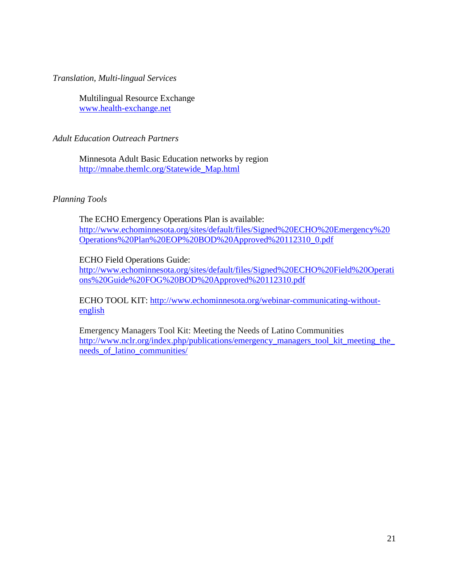*Translation, Multi-lingual Services*

Multilingual Resource Exchange [www.health-exchange.net](http://www.health-exchange.net/)

*Adult Education Outreach Partners* 

Minnesota Adult Basic Education networks by region [http://mnabe.themlc.org/Statewide\\_Map.html](http://mnabe.themlc.org/Statewide_Map.html)

### *Planning Tools*

The ECHO Emergency Operations Plan is available: [http://www.echominnesota.org/sites/default/files/Signed%20ECHO%20Emergency%20](http://www.echominnesota.org/sites/default/files/Signed%20ECHO%20Emergency%20Operations%20Plan%20EOP%20BOD%20Approved%20112310_0.pdf) [Operations%20Plan%20EOP%20BOD%20Approved%20112310\\_0.pdf](http://www.echominnesota.org/sites/default/files/Signed%20ECHO%20Emergency%20Operations%20Plan%20EOP%20BOD%20Approved%20112310_0.pdf)

ECHO Field Operations Guide:

[http://www.echominnesota.org/sites/default/files/Signed%20ECHO%20Field%20Operati](http://www.echominnesota.org/sites/default/files/Signed%20ECHO%20Field%20Operations%20Guide%20FOG%20BOD%20Approved%20112310.pdf) [ons%20Guide%20FOG%20BOD%20Approved%20112310.pdf](http://www.echominnesota.org/sites/default/files/Signed%20ECHO%20Field%20Operations%20Guide%20FOG%20BOD%20Approved%20112310.pdf)

ECHO TOOL KIT: [http://www.echominnesota.org/webinar-communicating-without](http://www.echominnesota.org/webinar-communicating-without-english)[english](http://www.echominnesota.org/webinar-communicating-without-english)

Emergency Managers Tool Kit: Meeting the Needs of Latino Communities [http://www.nclr.org/index.php/publications/emergency\\_managers\\_tool\\_kit\\_meeting\\_the\\_](http://www.nclr.org/index.php/publications/emergency_managers_tool_kit_meeting_the_needs_of_latino_communities/) [needs\\_of\\_latino\\_communities/](http://www.nclr.org/index.php/publications/emergency_managers_tool_kit_meeting_the_needs_of_latino_communities/)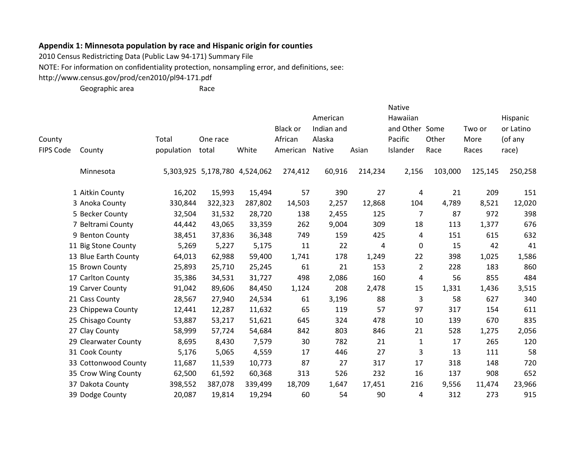## **Appendix 1: Minnesota population by race and Hispanic origin for counties**

2010 Census Redistricting Data (Public Law 94-171) Summary File NOTE: For information on confidentiality protection, nonsampling error, and definitions, see: http://www.census.gov/prod/cen2010/pl94-171.pdf

Geographic area **Race** 

|                  |                      |            |                               |         |                 |            |         | Native         |         |         |           |
|------------------|----------------------|------------|-------------------------------|---------|-----------------|------------|---------|----------------|---------|---------|-----------|
|                  |                      |            |                               |         |                 | American   |         | Hawaiian       |         |         | Hispanic  |
|                  |                      |            |                               |         | <b>Black or</b> | Indian and |         | and Other Some |         | Two or  | or Latino |
| County           |                      | Total      | One race                      |         | African         | Alaska     |         | Pacific        | Other   | More    | (of any   |
| <b>FIPS Code</b> | County               | population | total                         | White   | American        | Native     | Asian   | Islander       | Race    | Races   | race)     |
|                  | Minnesota            |            | 5,303,925 5,178,780 4,524,062 |         | 274,412         | 60,916     | 214,234 | 2,156          | 103,000 | 125,145 | 250,258   |
|                  | 1 Aitkin County      | 16,202     | 15,993                        | 15,494  | 57              | 390        | 27      | 4              | 21      | 209     | 151       |
|                  | 3 Anoka County       | 330,844    | 322,323                       | 287,802 | 14,503          | 2,257      | 12,868  | 104            | 4,789   | 8,521   | 12,020    |
|                  | 5 Becker County      | 32,504     | 31,532                        | 28,720  | 138             | 2,455      | 125     | $\overline{7}$ | 87      | 972     | 398       |
|                  | 7 Beltrami County    | 44,442     | 43,065                        | 33,359  | 262             | 9,004      | 309     | 18             | 113     | 1,377   | 676       |
|                  | 9 Benton County      | 38,451     | 37,836                        | 36,348  | 749             | 159        | 425     | 4              | 151     | 615     | 632       |
|                  | 11 Big Stone County  | 5,269      | 5,227                         | 5,175   | 11              | 22         | 4       | 0              | 15      | 42      | 41        |
|                  | 13 Blue Earth County | 64,013     | 62,988                        | 59,400  | 1,741           | 178        | 1,249   | 22             | 398     | 1,025   | 1,586     |
|                  | 15 Brown County      | 25,893     | 25,710                        | 25,245  | 61              | 21         | 153     | $\overline{2}$ | 228     | 183     | 860       |
|                  | 17 Carlton County    | 35,386     | 34,531                        | 31,727  | 498             | 2,086      | 160     | 4              | 56      | 855     | 484       |
|                  | 19 Carver County     | 91,042     | 89,606                        | 84,450  | 1,124           | 208        | 2,478   | 15             | 1,331   | 1,436   | 3,515     |
|                  | 21 Cass County       | 28,567     | 27,940                        | 24,534  | 61              | 3,196      | 88      | 3              | 58      | 627     | 340       |
|                  | 23 Chippewa County   | 12,441     | 12,287                        | 11,632  | 65              | 119        | 57      | 97             | 317     | 154     | 611       |
|                  | 25 Chisago County    | 53,887     | 53,217                        | 51,621  | 645             | 324        | 478     | 10             | 139     | 670     | 835       |
|                  | 27 Clay County       | 58,999     | 57,724                        | 54,684  | 842             | 803        | 846     | 21             | 528     | 1,275   | 2,056     |
|                  | 29 Clearwater County | 8,695      | 8,430                         | 7,579   | 30              | 782        | 21      | $\mathbf{1}$   | 17      | 265     | 120       |
|                  | 31 Cook County       | 5,176      | 5,065                         | 4,559   | 17              | 446        | 27      | 3              | 13      | 111     | 58        |
|                  | 33 Cottonwood County | 11,687     | 11,539                        | 10,773  | 87              | 27         | 317     | 17             | 318     | 148     | 720       |
|                  | 35 Crow Wing County  | 62,500     | 61,592                        | 60,368  | 313             | 526        | 232     | 16             | 137     | 908     | 652       |
|                  | 37 Dakota County     | 398,552    | 387,078                       | 339,499 | 18,709          | 1,647      | 17,451  | 216            | 9,556   | 11,474  | 23,966    |
|                  | 39 Dodge County      | 20,087     | 19,814                        | 19,294  | 60              | 54         | 90      | 4              | 312     | 273     | 915       |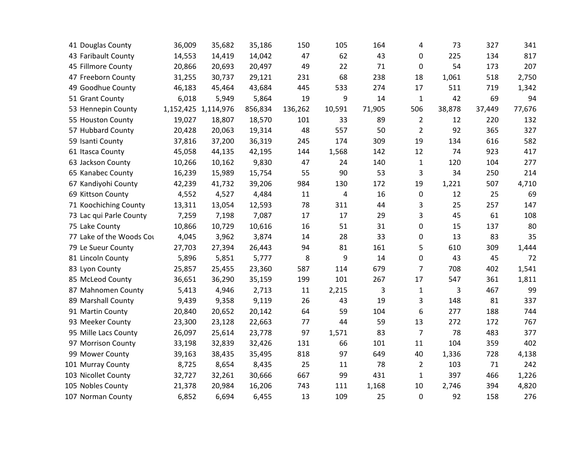| 41 Douglas County        | 36,009 | 35,682              | 35,186  | 150     | 105    | 164         | 4              | 73     | 327    | 341    |
|--------------------------|--------|---------------------|---------|---------|--------|-------------|----------------|--------|--------|--------|
| 43 Faribault County      | 14,553 | 14,419              | 14,042  | 47      | 62     | 43          | 0              | 225    | 134    | 817    |
| 45 Fillmore County       | 20,866 | 20,693              | 20,497  | 49      | 22     | 71          | 0              | 54     | 173    | 207    |
| 47 Freeborn County       | 31,255 | 30,737              | 29,121  | 231     | 68     | 238         | 18             | 1,061  | 518    | 2,750  |
| 49 Goodhue County        | 46,183 | 45,464              | 43,684  | 445     | 533    | 274         | 17             | 511    | 719    | 1,342  |
| 51 Grant County          | 6,018  | 5,949               | 5,864   | 19      | 9      | 14          | $\mathbf{1}$   | 42     | 69     | 94     |
| 53 Hennepin County       |        | 1,152,425 1,114,976 | 856,834 | 136,262 | 10,591 | 71,905      | 506            | 38,878 | 37,449 | 77,676 |
| 55 Houston County        | 19,027 | 18,807              | 18,570  | 101     | 33     | 89          | $\overline{2}$ | 12     | 220    | 132    |
| 57 Hubbard County        | 20,428 | 20,063              | 19,314  | 48      | 557    | 50          | $\overline{2}$ | 92     | 365    | 327    |
| 59 Isanti County         | 37,816 | 37,200              | 36,319  | 245     | 174    | 309         | 19             | 134    | 616    | 582    |
| 61 Itasca County         | 45,058 | 44,135              | 42,195  | 144     | 1,568  | 142         | 12             | 74     | 923    | 417    |
| 63 Jackson County        | 10,266 | 10,162              | 9,830   | 47      | 24     | 140         | $\mathbf{1}$   | 120    | 104    | 277    |
| 65 Kanabec County        | 16,239 | 15,989              | 15,754  | 55      | 90     | 53          | 3              | 34     | 250    | 214    |
| 67 Kandiyohi County      | 42,239 | 41,732              | 39,206  | 984     | 130    | 172         | 19             | 1,221  | 507    | 4,710  |
| 69 Kittson County        | 4,552  | 4,527               | 4,484   | $11\,$  | 4      | 16          | 0              | 12     | 25     | 69     |
| 71 Koochiching County    | 13,311 | 13,054              | 12,593  | 78      | 311    | 44          | 3              | 25     | 257    | 147    |
| 73 Lac qui Parle County  | 7,259  | 7,198               | 7,087   | 17      | 17     | 29          | 3              | 45     | 61     | 108    |
| 75 Lake County           | 10,866 | 10,729              | 10,616  | 16      | 51     | 31          | 0              | 15     | 137    | 80     |
| 77 Lake of the Woods Cou | 4,045  | 3,962               | 3,874   | 14      | 28     | 33          | 0              | 13     | 83     | 35     |
| 79 Le Sueur County       | 27,703 | 27,394              | 26,443  | 94      | 81     | 161         | 5              | 610    | 309    | 1,444  |
| 81 Lincoln County        | 5,896  | 5,851               | 5,777   | 8       | 9      | 14          | 0              | 43     | 45     | 72     |
| 83 Lyon County           | 25,857 | 25,455              | 23,360  | 587     | 114    | 679         | 7              | 708    | 402    | 1,541  |
| 85 McLeod County         | 36,651 | 36,290              | 35,159  | 199     | 101    | 267         | 17             | 547    | 361    | 1,811  |
| 87 Mahnomen County       | 5,413  | 4,946               | 2,713   | 11      | 2,215  | $\mathsf 3$ | $\mathbf{1}$   | 3      | 467    | 99     |
| 89 Marshall County       | 9,439  | 9,358               | 9,119   | 26      | 43     | 19          | 3              | 148    | 81     | 337    |
| 91 Martin County         | 20,840 | 20,652              | 20,142  | 64      | 59     | 104         | 6              | 277    | 188    | 744    |
| 93 Meeker County         | 23,300 | 23,128              | 22,663  | 77      | 44     | 59          | 13             | 272    | 172    | 767    |
| 95 Mille Lacs County     | 26,097 | 25,614              | 23,778  | 97      | 1,571  | 83          | $\overline{7}$ | 78     | 483    | 377    |
| 97 Morrison County       | 33,198 | 32,839              | 32,426  | 131     | 66     | 101         | 11             | 104    | 359    | 402    |
| 99 Mower County          | 39,163 | 38,435              | 35,495  | 818     | 97     | 649         | 40             | 1,336  | 728    | 4,138  |
| 101 Murray County        | 8,725  | 8,654               | 8,435   | 25      | 11     | 78          | $\overline{2}$ | 103    | 71     | 242    |
| 103 Nicollet County      | 32,727 | 32,261              | 30,666  | 667     | 99     | 431         | $\mathbf{1}$   | 397    | 466    | 1,226  |
| 105 Nobles County        | 21,378 | 20,984              | 16,206  | 743     | 111    | 1,168       | 10             | 2,746  | 394    | 4,820  |
| 107 Norman County        | 6,852  | 6,694               | 6,455   | 13      | 109    | 25          | 0              | 92     | 158    | 276    |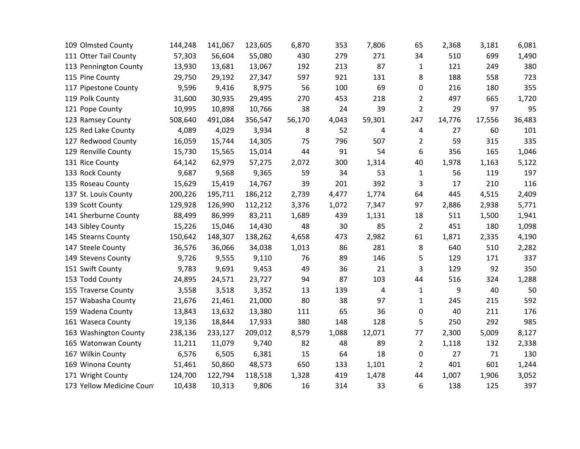| 109 Olmsted County        | 144,248 | 141,067 | 123,605 | 6,870  | 353   | 7,806  | 65               | 2,368  | 3,181  | 6,081  |
|---------------------------|---------|---------|---------|--------|-------|--------|------------------|--------|--------|--------|
| 111 Otter Tail County     | 57,303  | 56,604  | 55,080  | 430    | 279   | 271    | 34               | 510    | 699    | 1,490  |
| 113 Pennington County     | 13,930  | 13,681  | 13,067  | 192    | 213   | 87     | $\mathbf{1}$     | 121    | 249    | 380    |
| 115 Pine County           | 29,750  | 29,192  | 27,347  | 597    | 921   | 131    | 8                | 188    | 558    | 723    |
| 117 Pipestone County      | 9,596   | 9,416   | 8,975   | 56     | 100   | 69     | 0                | 216    | 180    | 355    |
| 119 Polk County           | 31,600  | 30,935  | 29,495  | 270    | 453   | 218    | $\overline{2}$   | 497    | 665    | 1,720  |
| 121 Pope County           | 10,995  | 10,898  | 10,766  | 38     | 24    | 39     | $\overline{2}$   | 29     | 97     | 95     |
| 123 Ramsey County         | 508,640 | 491,084 | 356,547 | 56,170 | 4,043 | 59,301 | 247              | 14,776 | 17,556 | 36,483 |
| 125 Red Lake County       | 4,089   | 4,029   | 3,934   | 8      | 52    | 4      | 4                | 27     | 60     | 101    |
| 127 Redwood County        | 16,059  | 15,744  | 14,305  | 75     | 796   | 507    | 2                | 59     | 315    | 335    |
| 129 Renville County       | 15,730  | 15,565  | 15,014  | 44     | 91    | 54     | $\boldsymbol{6}$ | 356    | 165    | 1,046  |
| 131 Rice County           | 64,142  | 62,979  | 57,275  | 2,072  | 300   | 1,314  | 40               | 1,978  | 1,163  | 5,122  |
| 133 Rock County           | 9,687   | 9,568   | 9,365   | 59     | 34    | 53     | $\mathbf{1}$     | 56     | 119    | 197    |
| 135 Roseau County         | 15,629  | 15,419  | 14,767  | 39     | 201   | 392    | 3                | 17     | 210    | 116    |
| 137 St. Louis County      | 200,226 | 195,711 | 186,212 | 2,739  | 4,477 | 1,774  | 64               | 445    | 4,515  | 2,409  |
| 139 Scott County          | 129,928 | 126,990 | 112,212 | 3,376  | 1,072 | 7,347  | 97               | 2,886  | 2,938  | 5,771  |
| 141 Sherburne County      | 88,499  | 86,999  | 83,211  | 1,689  | 439   | 1,131  | 18               | 511    | 1,500  | 1,941  |
| 143 Sibley County         | 15,226  | 15,046  | 14,430  | 48     | 30    | 85     | $\overline{2}$   | 451    | 180    | 1,098  |
| 145 Stearns County        | 150,642 | 148,307 | 138,262 | 4,658  | 473   | 2,982  | 61               | 1,871  | 2,335  | 4,190  |
| 147 Steele County         | 36,576  | 36,066  | 34,038  | 1,013  | 86    | 281    | 8                | 640    | 510    | 2,282  |
| 149 Stevens County        | 9,726   | 9,555   | 9,110   | 76     | 89    | 146    | 5                | 129    | 171    | 337    |
| 151 Swift County          | 9,783   | 9,691   | 9,453   | 49     | 36    | 21     | 3                | 129    | 92     | 350    |
| 153 Todd County           | 24,895  | 24,571  | 23,727  | 94     | 87    | 103    | 44               | 516    | 324    | 1,288  |
| 155 Traverse County       | 3,558   | 3,518   | 3,352   | 13     | 139   | 4      | $\mathbf{1}$     | 9      | 40     | 50     |
| 157 Wabasha County        | 21,676  | 21,461  | 21,000  | 80     | 38    | 97     | $\mathbf{1}$     | 245    | 215    | 592    |
| 159 Wadena County         | 13,843  | 13,632  | 13,380  | 111    | 65    | 36     | 0                | 40     | 211    | 176    |
| 161 Waseca County         | 19,136  | 18,844  | 17,933  | 380    | 148   | 128    | 5                | 250    | 292    | 985    |
| 163 Washington County     | 238,136 | 233,127 | 209,012 | 8,579  | 1,088 | 12,071 | 77               | 2,300  | 5,009  | 8,127  |
| 165 Watonwan County       | 11,211  | 11,079  | 9,740   | 82     | 48    | 89     | $\overline{2}$   | 1,118  | 132    | 2,338  |
| 167 Wilkin County         | 6,576   | 6,505   | 6,381   | 15     | 64    | 18     | $\boldsymbol{0}$ | 27     | 71     | 130    |
| 169 Winona County         | 51,461  | 50,860  | 48,573  | 650    | 133   | 1,101  | $\overline{2}$   | 401    | 601    | 1,244  |
| 171 Wright County         | 124,700 | 122,794 | 118,518 | 1,328  | 419   | 1,478  | 44               | 1,007  | 1,906  | 3,052  |
| 173 Yellow Medicine Count | 10,438  | 10,313  | 9,806   | 16     | 314   | 33     | 6                | 138    | 125    | 397    |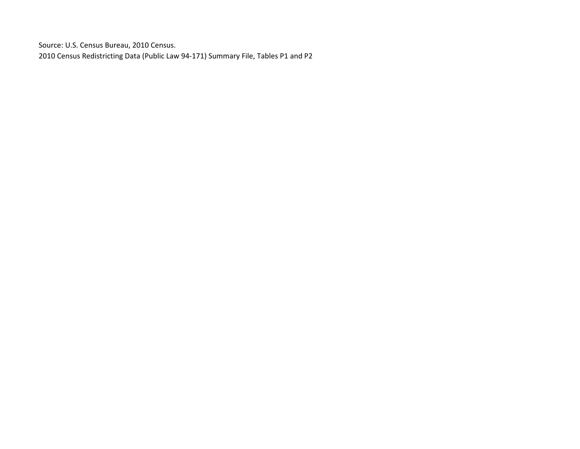Source: U.S. Census Bureau, 2010 Census. 2010 Census Redistricting Data (Public Law 94-171) Summary File, Tables P1 and P2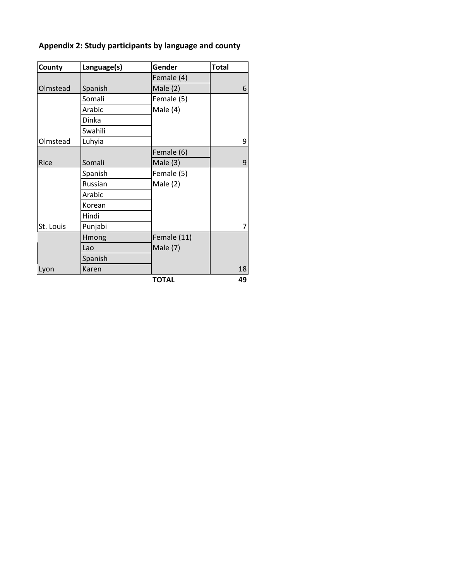# **Appendix 2: Study participants by language and county**

| County    | Language(s) | Gender       | <b>Total</b> |
|-----------|-------------|--------------|--------------|
|           |             | Female (4)   |              |
| Olmstead  | Spanish     | Male $(2)$   | 6            |
|           | Somali      | Female (5)   |              |
|           | Arabic      | Male $(4)$   |              |
|           | Dinka       |              |              |
|           | Swahili     |              |              |
| Olmstead  | Luhyia      |              | 9            |
|           |             | Female (6)   |              |
| Rice      | Somali      | Male $(3)$   | 9            |
|           | Spanish     | Female (5)   |              |
|           | Russian     | Male $(2)$   |              |
|           | Arabic      |              |              |
|           | Korean      |              |              |
|           | Hindi       |              |              |
| St. Louis | Punjabi     |              |              |
|           | Hmong       | Female (11)  |              |
|           | Lao         | Male (7)     |              |
|           | Spanish     |              |              |
| Lyon      | Karen       |              | 18           |
|           |             | <b>TOTAL</b> | 49           |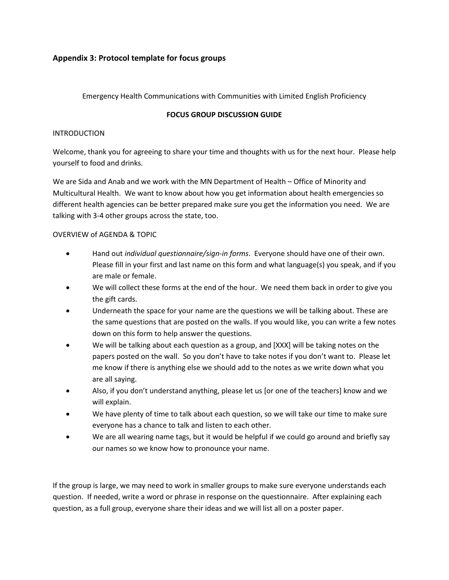#### **Appendix 3: Protocol template for focus groups**

Emergency Health Communications with Communities with Limited English Proficiency

#### **FOCUS GROUP DISCUSSION GUIDE**

#### INTRODUCTION

Welcome, thank you for agreeing to share your time and thoughts with us for the next hour. Please help yourself to food and drinks.

We are Sida and Anab and we work with the MN Department of Health – Office of Minority and Multicultural Health. We want to know about how you get information about health emergencies so different health agencies can be better prepared make sure you get the information you need. We are talking with 3-4 other groups across the state, too.

#### OVERVIEW of AGENDA & TOPIC

- Hand out *individual questionnaire/sign-in forms*. Everyone should have one of their own. Please fill in your first and last name on this form and what language(s) you speak, and if you are male or female.
- We will collect these forms at the end of the hour. We need them back in order to give you the gift cards.
- Underneath the space for your name are the questions we will be talking about. These are the same questions that are posted on the walls. If you would like, you can write a few notes down on this form to help answer the questions.
- We will be talking about each question as a group, and [XXX] will be taking notes on the papers posted on the wall. So you don't have to take notes if you don't want to. Please let me know if there is anything else we should add to the notes as we write down what you are all saying.
- Also, if you don't understand anything, please let us [or one of the teachers] know and we will explain.
- We have plenty of time to talk about each question, so we will take our time to make sure everyone has a chance to talk and listen to each other.
- We are all wearing name tags, but it would be helpful if we could go around and briefly say our names so we know how to pronounce your name.

If the group is large, we may need to work in smaller groups to make sure everyone understands each question. If needed, write a word or phrase in response on the questionnaire. After explaining each question, as a full group, everyone share their ideas and we will list all on a poster paper.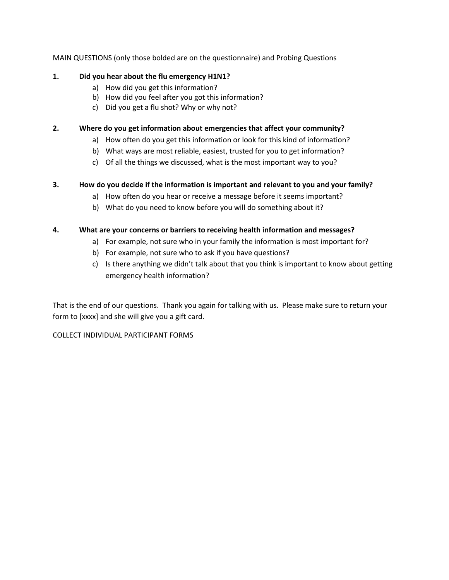#### MAIN QUESTIONS (only those bolded are on the questionnaire) and Probing Questions

#### **1. Did you hear about the flu emergency H1N1?**

- a) How did you get this information?
- b) How did you feel after you got this information?
- c) Did you get a flu shot? Why or why not?

#### **2. Where do you get information about emergencies that affect your community?**

- a) How often do you get this information or look for this kind of information?
- b) What ways are most reliable, easiest, trusted for you to get information?
- c) Of all the things we discussed, what is the most important way to you?

#### **3. How do you decide if the information is important and relevant to you and your family?**

- a) How often do you hear or receive a message before it seems important?
- b) What do you need to know before you will do something about it?

#### **4. What are your concerns or barriers to receiving health information and messages?**

- a) For example, not sure who in your family the information is most important for?
- b) For example, not sure who to ask if you have questions?
- c) Is there anything we didn't talk about that you think is important to know about getting emergency health information?

That is the end of our questions. Thank you again for talking with us. Please make sure to return your form to [xxxx] and she will give you a gift card.

#### COLLECT INDIVIDUAL PARTICIPANT FORMS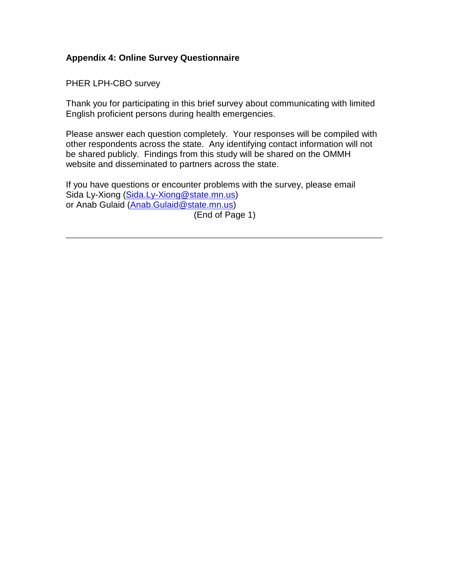# **Appendix 4: Online Survey Questionnaire**

PHER LPH-CBO survey

Thank you for participating in this brief survey about communicating with limited English proficient persons during health emergencies.

Please answer each question completely. Your responses will be compiled with other respondents across the state. Any identifying contact information will not be shared publicly. Findings from this study will be shared on the OMMH website and disseminated to partners across the state.

If you have questions or encounter problems with the survey, please email Sida Ly-Xiong [\(Sida.Ly-Xiong@state.mn.us\)](mailto:Sida.Ly-Xiong@state.mn.us) or Anab Gulaid [\(Anab.Gulaid@state.mn.us\)](mailto:Anab.Gulaid@state.mn.us) (End of Page 1)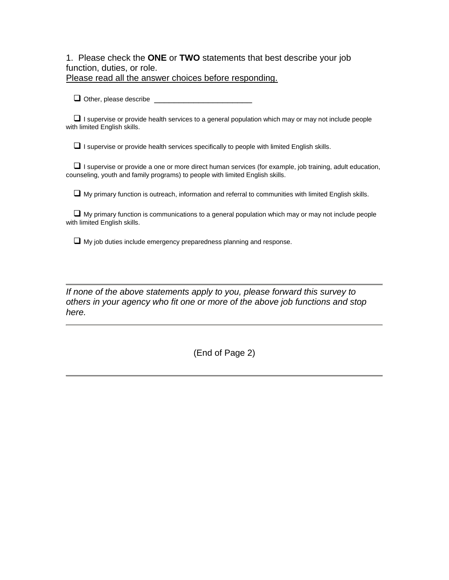#### 1. Please check the **ONE** or **TWO** statements that best describe your job function, duties, or role. Please read all the answer choices before responding.

Other, please describe \_\_\_\_\_\_\_\_\_\_\_\_\_\_\_\_\_\_\_\_

 $\Box$  I supervise or provide health services to a general population which may or may not include people with limited English skills.

 $\Box$  I supervise or provide health services specifically to people with limited English skills.

 $\Box$  I supervise or provide a one or more direct human services (for example, job training, adult education, counseling, youth and family programs) to people with limited English skills.

 $\Box$  My primary function is outreach, information and referral to communities with limited English skills.

 $\Box$  My primary function is communications to a general population which may or may not include people with limited English skills.

 $\Box$  My job duties include emergency preparedness planning and response.

*If none of the above statements apply to you, please forward this survey to others in your agency who fit one or more of the above job functions and stop here.* 

(End of Page 2)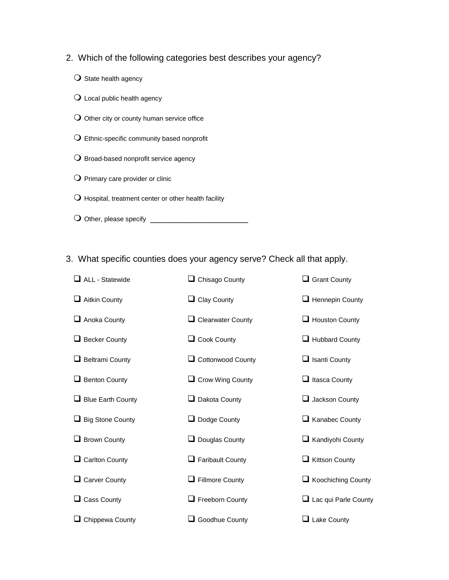- 2. Which of the following categories best describes your agency?
	- $\overline{O}$  State health agency
	- Local public health agency
	- $\bigcirc$  Other city or county human service office
	- Ethnic-specific community based nonprofit
	- O Broad-based nonprofit service agency
	- $\bigcirc$  Primary care provider or clinic
	- $\bigcirc$  Hospital, treatment center or other health facility
	- Other, please specify \_\_\_\_\_\_\_\_\_\_\_\_\_\_\_\_\_\_\_\_
- 3. What specific counties does your agency serve? Check all that apply.

| □ ALL - Statewide        | $\Box$ Chisago County    | $\Box$ Grant County         |
|--------------------------|--------------------------|-----------------------------|
| $\Box$ Aitkin County     | $\Box$ Clay County       | $\Box$ Hennepin County      |
| $\Box$ Anoka County      | $\Box$ Clearwater County | $\Box$ Houston County       |
| $\Box$ Becker County     | $\Box$ Cook County       | $\Box$ Hubbard County       |
| $\Box$ Beltrami County   | Cottonwood County        | $\Box$ Isanti County        |
| $\Box$ Benton County     | $\Box$ Crow Wing County  | $\Box$ Itasca County        |
| $\Box$ Blue Earth County | $\Box$ Dakota County     | $\Box$ Jackson County       |
| $\Box$ Big Stone County  | $\Box$ Dodge County      | $\Box$ Kanabec County       |
| $\Box$ Brown County      | $\Box$ Douglas County    | $\Box$ Kandiyohi County     |
| $\Box$ Carlton County    | $\Box$ Faribault County  | $\Box$ Kittson County       |
| $\Box$ Carver County     | $\Box$ Fillmore County   | $\Box$ Koochiching County   |
| $\Box$ Cass County       | $\Box$ Freeborn County   | $\Box$ Lac qui Parle County |
| Chippewa County          | $\Box$ Goodhue County    | $\Box$ Lake County          |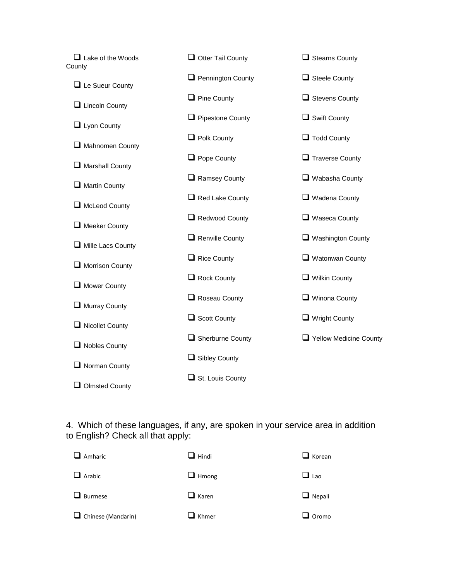| $\Box$ Lake of the Woods<br>County               | $\Box$ Otter Tail County | $\Box$ Stearns County         |
|--------------------------------------------------|--------------------------|-------------------------------|
| $\Box$ Le Sueur County                           | $\Box$ Pennington County | $\Box$ Steele County          |
| $\Box$ Lincoln County                            | $\Box$ Pine County       | $\Box$ Stevens County         |
| $\Box$ Lyon County                               | $\Box$ Pipestone County  | $\Box$ Swift County           |
| Mahnomen County                                  | $\Box$ Polk County       | $\Box$ Todd County            |
| $\Box$ Marshall County                           | $\Box$ Pope County       | $\Box$ Traverse County        |
| $\Box$ Martin County                             | $\Box$ Ramsey County     | $\Box$ Wabasha County         |
| $\Box$ McLeod County                             | $\Box$ Red Lake County   | $\Box$ Wadena County          |
|                                                  | $\Box$ Redwood County    | $\Box$ Waseca County          |
| $\Box$ Meeker County<br>$\Box$ Mille Lacs County | $\Box$ Renville County   | $\Box$ Washington County      |
|                                                  | $\Box$ Rice County       | $\Box$ Watonwan County        |
| $\Box$ Morrison County<br>$\Box$ Mower County    | $\Box$ Rock County       | $\Box$ Wilkin County          |
|                                                  | $\Box$ Roseau County     | $\Box$ Winona County          |
| $\Box$ Murray County                             | $\Box$ Scott County      | $\Box$ Wright County          |
| $\Box$ Nicollet County                           | $\Box$ Sherburne County  | $\Box$ Yellow Medicine County |
| $\Box$ Nobles County                             | $\Box$ Sibley County     |                               |
| $\Box$ Norman County                             | St. Louis County         |                               |
| $\Box$ Olmsted County                            |                          |                               |

4. Which of these languages, if any, are spoken in your service area in addition to English? Check all that apply:

| Amharic                   | Hindi        | Korean      |
|---------------------------|--------------|-------------|
| Arabic                    | $\Box$ Hmong | $\Box$ Lao  |
| <b>Burmese</b>            | $\Box$ Karen | H<br>Nepali |
| $\Box$ Chinese (Mandarin) | Khmer        | Oromo       |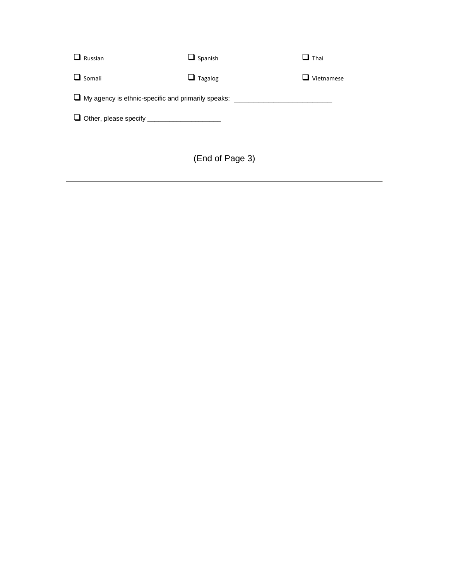| Russian                                                          | $\Box$ Spanish | $\blacksquare$ Thai |  |  |  |  |
|------------------------------------------------------------------|----------------|---------------------|--|--|--|--|
| $\Box$ Somali                                                    | $\Box$ Tagalog | Vietnamese          |  |  |  |  |
| $\Box$ My agency is ethnic-specific and primarily speaks: $\Box$ |                |                     |  |  |  |  |
|                                                                  |                |                     |  |  |  |  |
|                                                                  |                |                     |  |  |  |  |
| (End of Page 3)                                                  |                |                     |  |  |  |  |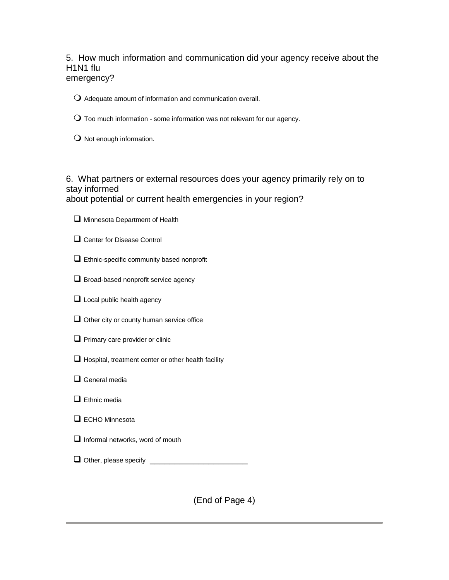5. How much information and communication did your agency receive about the H1N1 flu emergency?

- Adequate amount of information and communication overall.
- $\overline{O}$  Too much information some information was not relevant for our agency.
- $\bigcirc$  Not enough information.

**H** Minnesota Department of Health

Center for Disease Control

# 6. What partners or external resources does your agency primarily rely on to stay informed

about potential or current health emergencies in your region?

| Ethnic-specific community based nonprofit                  |  |  |  |  |  |
|------------------------------------------------------------|--|--|--|--|--|
| Broad-based nonprofit service agency                       |  |  |  |  |  |
| $\Box$ Local public health agency                          |  |  |  |  |  |
| $\Box$ Other city or county human service office           |  |  |  |  |  |
| $\Box$ Primary care provider or clinic                     |  |  |  |  |  |
| $\Box$ Hospital, treatment center or other health facility |  |  |  |  |  |
| $\Box$ General media                                       |  |  |  |  |  |
| $\Box$ Ethnic media                                        |  |  |  |  |  |
| $\Box$ ECHO Minnesota                                      |  |  |  |  |  |
| $\Box$ Informal networks, word of mouth                    |  |  |  |  |  |
|                                                            |  |  |  |  |  |

 $\Box$  Other, please specify

(End of Page 4)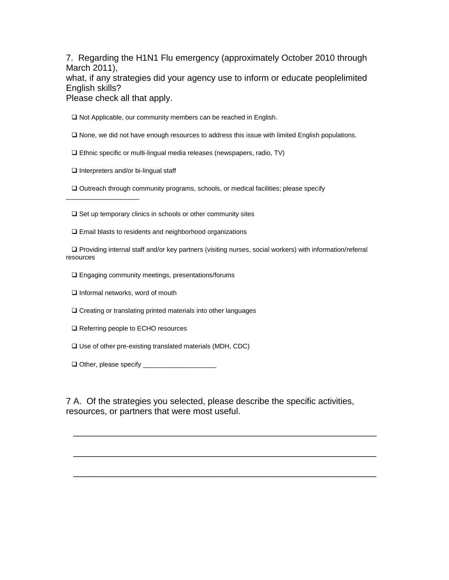7. Regarding the H1N1 Flu emergency (approximately October 2010 through March 2011),

what, if any strategies did your agency use to inform or educate peoplelimited English skills?

Please check all that apply.

□ Not Applicable, our community members can be reached in English.

 $\Box$  None, we did not have enough resources to address this issue with limited English populations.

Ethnic specific or multi-lingual media releases (newspapers, radio, TV)

 $\square$  Interpreters and/or bi-lingual staff

 $\_$ 

Outreach through community programs, schools, or medical facilities; please specify

 $\square$  Set up temporary clinics in schools or other community sites

 $\square$  Email blasts to residents and neighborhood organizations

 Providing internal staff and/or key partners (visiting nurses, social workers) with information/referral resources

□ Engaging community meetings, presentations/forums

- $\square$  Informal networks, word of mouth
- Creating or translating printed materials into other languages
- **□ Referring people to ECHO resources**
- Use of other pre-existing translated materials (MDH, CDC)

Other, please specify \_\_\_\_\_\_\_\_\_\_\_\_\_\_\_\_\_\_\_\_

7 A. Of the strategies you selected, please describe the specific activities, resources, or partners that were most useful.

 $\overline{\phantom{a}}$  , and the contribution of the contribution of the contribution of the contribution of the contribution of  $\overline{\phantom{a}}$ 

 $\overline{\phantom{a}}$  , and the contribution of the contribution of the contribution of the contribution of the contribution of  $\overline{\phantom{a}}$ 

 $\overline{\phantom{a}}$  , and the contribution of the contribution of the contribution of the contribution of the contribution of  $\overline{\phantom{a}}$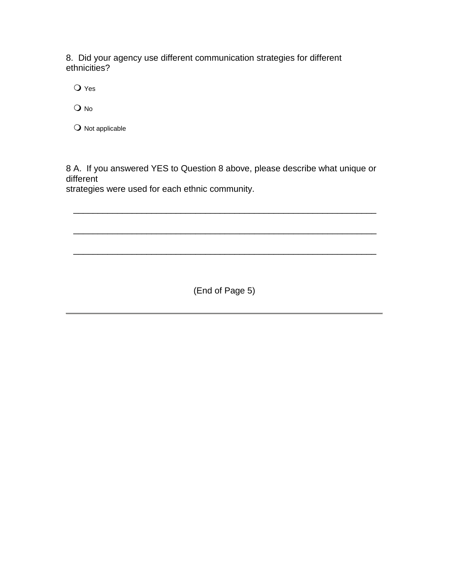8. Did your agency use different communication strategies for different ethnicities?

O Yes

O No

 $\bigcirc$  Not applicable

8 A. If you answered YES to Question 8 above, please describe what unique or different

 $\overline{\phantom{a}}$  , and the contribution of the contribution of the contribution of the contribution of the contribution of the contribution of the contribution of the contribution of the contribution of the contribution of the

 $\overline{\phantom{a}}$  , and the contribution of the contribution of the contribution of the contribution of the contribution of  $\overline{\phantom{a}}$ 

 $\overline{\phantom{a}}$  , and the contribution of the contribution of the contribution of the contribution of the contribution of  $\overline{\phantom{a}}$ 

strategies were used for each ethnic community.

(End of Page 5)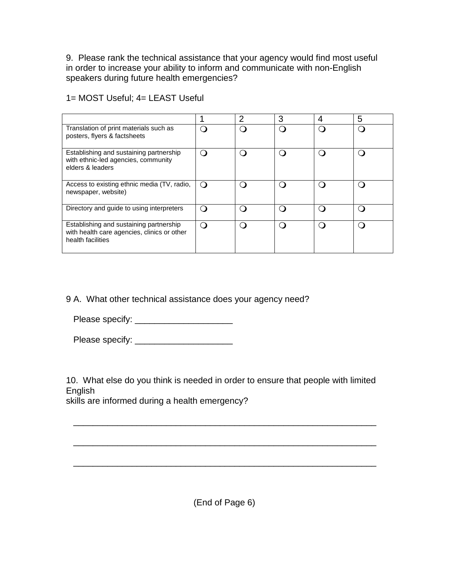9. Please rank the technical assistance that your agency would find most useful in order to increase your ability to inform and communicate with non-English speakers during future health emergencies?

1= MOST Useful; 4= LEAST Useful

|                                                                                                             |                  | $\overline{2}$ | 3 | 4 | 5 |
|-------------------------------------------------------------------------------------------------------------|------------------|----------------|---|---|---|
| Translation of print materials such as<br>posters, flyers & factsheets                                      | ( 1              |                |   |   |   |
| Establishing and sustaining partnership<br>with ethnic-led agencies, community<br>elders & leaders          |                  |                |   |   |   |
| Access to existing ethnic media (TV, radio,<br>newspaper, website)                                          | ∩                |                |   |   |   |
| Directory and guide to using interpreters                                                                   | ິ                |                |   |   |   |
| Establishing and sustaining partnership<br>with health care agencies, clinics or other<br>health facilities | $\left( \right)$ |                |   |   |   |

9 A. What other technical assistance does your agency need?

Please specify: \_\_\_\_\_\_\_\_\_\_\_\_\_\_\_\_\_\_\_\_

Please specify: \_\_\_\_\_\_\_\_\_\_\_\_\_\_\_\_\_\_\_\_

10. What else do you think is needed in order to ensure that people with limited English skills are informed during a health emergency?

 $\overline{\phantom{a}}$  , and the contribution of the contribution of the contribution of the contribution of the contribution of the contribution of the contribution of the contribution of the contribution of the contribution of the

 $\overline{\phantom{a}}$  , and the contribution of the contribution of the contribution of the contribution of the contribution of the contribution of the contribution of the contribution of the contribution of the contribution of the

 $\frac{1}{2}$  ,  $\frac{1}{2}$  ,  $\frac{1}{2}$  ,  $\frac{1}{2}$  ,  $\frac{1}{2}$  ,  $\frac{1}{2}$  ,  $\frac{1}{2}$  ,  $\frac{1}{2}$  ,  $\frac{1}{2}$  ,  $\frac{1}{2}$  ,  $\frac{1}{2}$  ,  $\frac{1}{2}$  ,  $\frac{1}{2}$  ,  $\frac{1}{2}$  ,  $\frac{1}{2}$  ,  $\frac{1}{2}$  ,  $\frac{1}{2}$  ,  $\frac{1}{2}$  ,  $\frac{1$ 

(End of Page 6)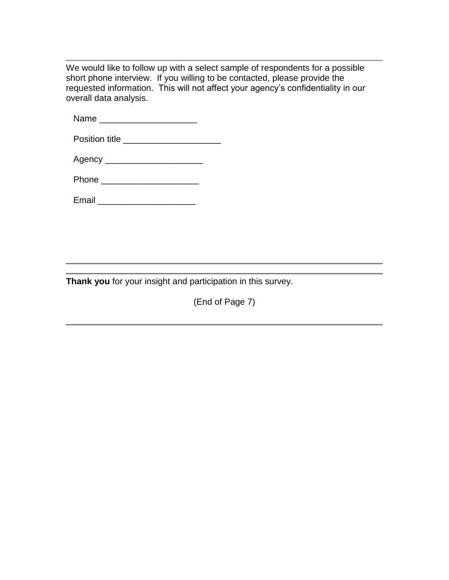We would like to follow up with a select sample of respondents for a possible short phone interview. If you willing to be contacted, please provide the requested information. This will not affect your agency's confidentiality in our overall data analysis.

| Name           |  |
|----------------|--|
| Position title |  |

| г<br>. .<br>. |  |
|---------------|--|
|               |  |

| Emall<br><b>EUL</b> |  |  |  |
|---------------------|--|--|--|
|                     |  |  |  |

**Thank you** for your insight and participation in this survey.

(End of Page 7)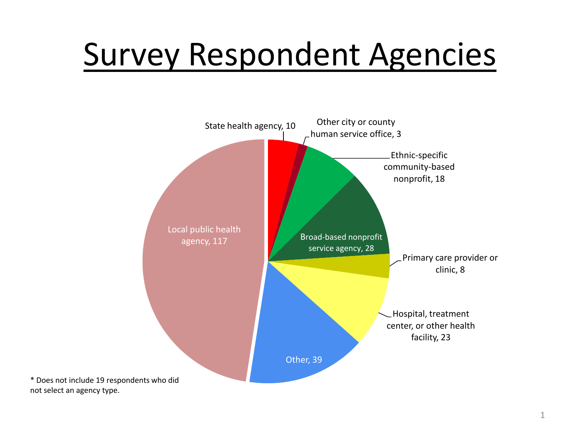# Survey Respondent Agencies